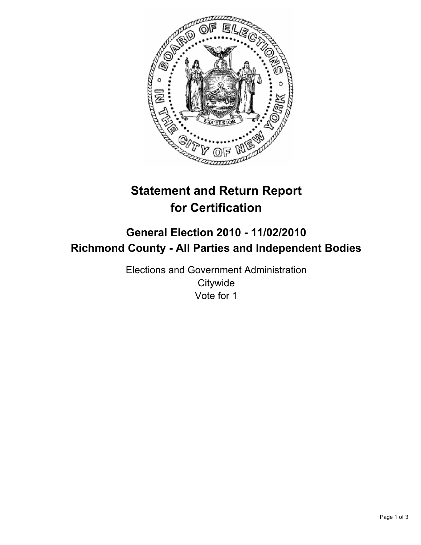

# **Statement and Return Report for Certification**

## **General Election 2010 - 11/02/2010 Richmond County - All Parties and Independent Bodies**

Elections and Government Administration **Citywide** Vote for 1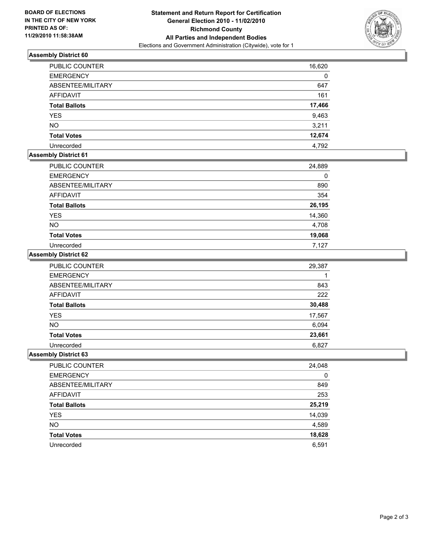

### **Assembly District 60**

| <b>PUBLIC COUNTER</b> | 16,620 |
|-----------------------|--------|
| <b>EMERGENCY</b>      | 0      |
| ABSENTEE/MILITARY     | 647    |
| <b>AFFIDAVIT</b>      | 161    |
| <b>Total Ballots</b>  | 17,466 |
| <b>YES</b>            | 9,463  |
| <b>NO</b>             | 3,211  |
| <b>Total Votes</b>    | 12,674 |
| Unrecorded            | 4,792  |

### **Assembly District 61**

| <b>PUBLIC COUNTER</b> | 24,889 |
|-----------------------|--------|
| <b>EMERGENCY</b>      | 0      |
| ABSENTEE/MILITARY     | 890    |
| <b>AFFIDAVIT</b>      | 354    |
| <b>Total Ballots</b>  | 26,195 |
| <b>YES</b>            | 14,360 |
| <b>NO</b>             | 4,708  |
| <b>Total Votes</b>    | 19,068 |
| Unrecorded            | 7,127  |

#### **Assembly District 62**

| PUBLIC COUNTER       | 29,387 |
|----------------------|--------|
| <b>EMERGENCY</b>     |        |
| ABSENTEE/MILITARY    | 843    |
| <b>AFFIDAVIT</b>     | 222    |
| <b>Total Ballots</b> | 30,488 |
| <b>YES</b>           | 17,567 |
| <b>NO</b>            | 6,094  |
| <b>Total Votes</b>   | 23,661 |
| Unrecorded           | 6.827  |

### **Assembly District 63**

| PUBLIC COUNTER       | 24,048 |
|----------------------|--------|
| <b>EMERGENCY</b>     | 0      |
| ABSENTEE/MILITARY    | 849    |
| AFFIDAVIT            | 253    |
| <b>Total Ballots</b> | 25,219 |
| <b>YES</b>           | 14,039 |
| <b>NO</b>            | 4,589  |
| <b>Total Votes</b>   | 18,628 |
| Unrecorded           | 6,591  |